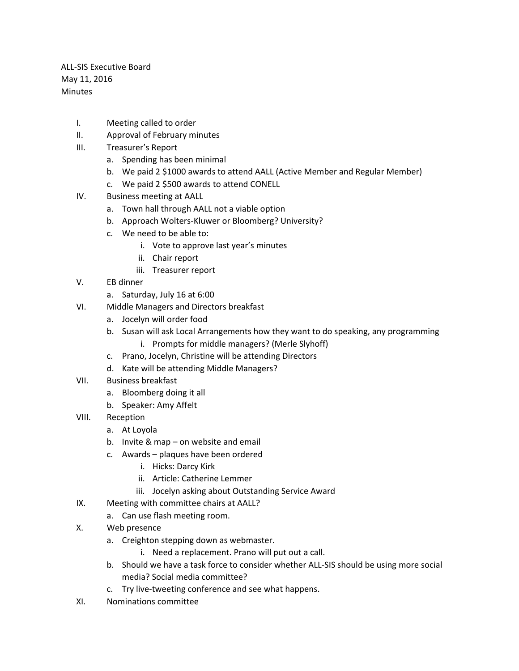ALL-SIS Executive Board May 11, 2016 **Minutes** 

- I. Meeting called to order
- II. Approval of February minutes
- III. Treasurer's Report
	- a. Spending has been minimal
	- b. We paid 2 \$1000 awards to attend AALL (Active Member and Regular Member)
	- c. We paid 2 \$500 awards to attend CONELL
- IV. Business meeting at AALL
	- a. Town hall through AALL not a viable option
	- b. Approach Wolters-Kluwer or Bloomberg? University?
	- c. We need to be able to:
		- i. Vote to approve last year's minutes
		- ii. Chair report
		- iii. Treasurer report
- V. EB dinner
	- a. Saturday, July 16 at 6:00
- VI. Middle Managers and Directors breakfast
	- a. Jocelyn will order food
	- b. Susan will ask Local Arrangements how they want to do speaking, any programming
		- i. Prompts for middle managers? (Merle Slyhoff)
	- c. Prano, Jocelyn, Christine will be attending Directors
	- d. Kate will be attending Middle Managers?
- VII. Business breakfast
	- a. Bloomberg doing it all
	- b. Speaker: Amy Affelt
- VIII. Reception
	- a. At Loyola
	- b. Invite & map on website and email
	- c. Awards plaques have been ordered
		- i. Hicks: Darcy Kirk
		- ii. Article: Catherine Lemmer
		- iii. Jocelyn asking about Outstanding Service Award
- IX. Meeting with committee chairs at AALL?
	- a. Can use flash meeting room.
- X. Web presence
	- a. Creighton stepping down as webmaster.
		- i. Need a replacement. Prano will put out a call.
	- b. Should we have a task force to consider whether ALL-SIS should be using more social media? Social media committee?
	- c. Try live-tweeting conference and see what happens.
- XI. Nominations committee